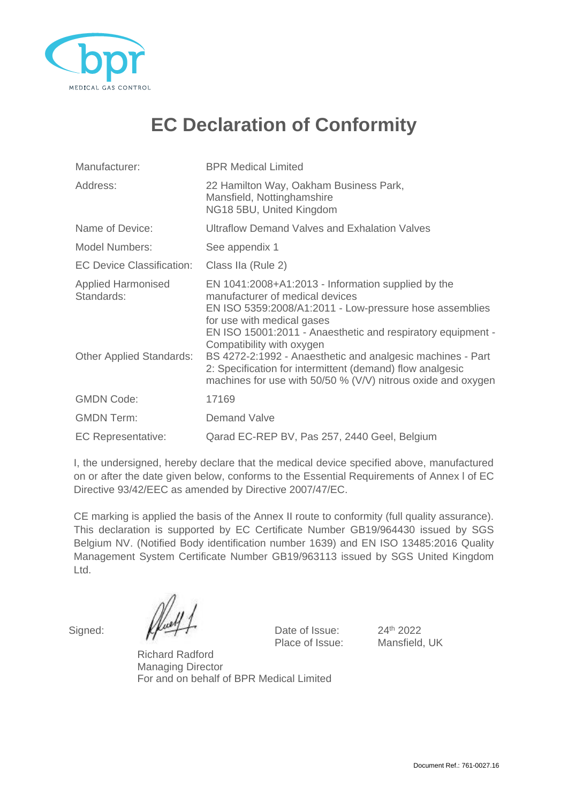

## **EC Declaration of Conformity**

| Manufacturer:                           | <b>BPR Medical Limited</b>                                                                                                                                                                                                                                                 |
|-----------------------------------------|----------------------------------------------------------------------------------------------------------------------------------------------------------------------------------------------------------------------------------------------------------------------------|
| Address:                                | 22 Hamilton Way, Oakham Business Park,<br>Mansfield, Nottinghamshire<br>NG18 5BU, United Kingdom                                                                                                                                                                           |
| Name of Device:                         | Ultraflow Demand Valves and Exhalation Valves                                                                                                                                                                                                                              |
| <b>Model Numbers:</b>                   | See appendix 1                                                                                                                                                                                                                                                             |
| <b>EC Device Classification:</b>        | Class IIa (Rule 2)                                                                                                                                                                                                                                                         |
| <b>Applied Harmonised</b><br>Standards: | EN 1041:2008+A1:2013 - Information supplied by the<br>manufacturer of medical devices<br>EN ISO 5359:2008/A1:2011 - Low-pressure hose assemblies<br>for use with medical gases<br>EN ISO 15001:2011 - Anaesthetic and respiratory equipment -<br>Compatibility with oxygen |
| <b>Other Applied Standards:</b>         | BS 4272-2:1992 - Anaesthetic and analgesic machines - Part<br>2: Specification for intermittent (demand) flow analgesic<br>machines for use with $50/50$ % (V/V) nitrous oxide and oxygen                                                                                  |
| <b>GMDN Code:</b>                       | 17169                                                                                                                                                                                                                                                                      |
| <b>GMDN Term:</b>                       | Demand Valve                                                                                                                                                                                                                                                               |
| <b>EC Representative:</b>               | Qarad EC-REP BV, Pas 257, 2440 Geel, Belgium                                                                                                                                                                                                                               |

I, the undersigned, hereby declare that the medical device specified above, manufactured on or after the date given below, conforms to the Essential Requirements of Annex l of EC Directive 93/42/EEC as amended by Directive 2007/47/EC.

CE marking is applied the basis of the Annex II route to conformity (full quality assurance). This declaration is supported by EC Certificate Number GB19/964430 issued by SGS Belgium NV. (Notified Body identification number 1639) and EN ISO 13485:2016 Quality Management System Certificate Number GB19/963113 issued by SGS United Kingdom Ltd.

Signed:  $\mathbb{Z}$   $\mathbb{Z}$  Date of Issue: 24<sup>th</sup> 2022

Place of Issue: Mansfield, UK

Richard Radford Managing Director For and on behalf of BPR Medical Limited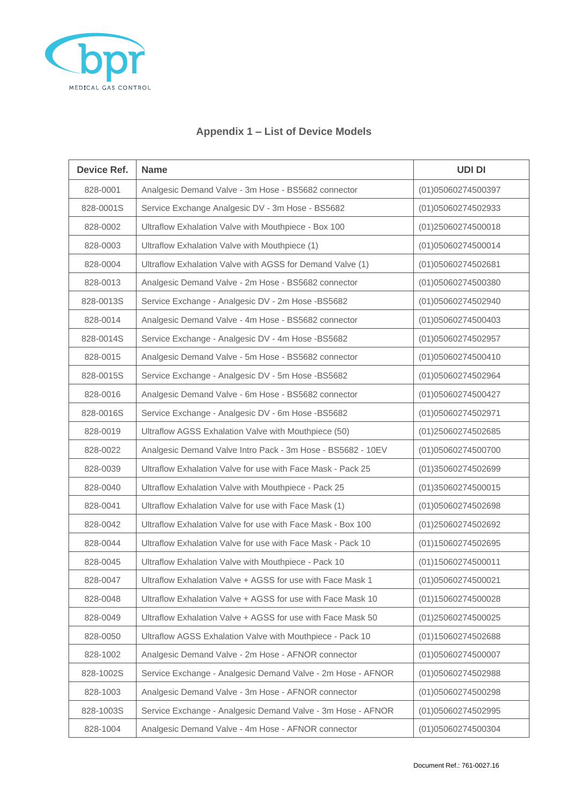

| Device Ref. | <b>Name</b>                                                 | <b>UDI DI</b>         |
|-------------|-------------------------------------------------------------|-----------------------|
| 828-0001    | Analgesic Demand Valve - 3m Hose - BS5682 connector         | (01)05060274500397    |
| 828-0001S   | Service Exchange Analgesic DV - 3m Hose - BS5682            | (01) 050 60274502933  |
| 828-0002    | Ultraflow Exhalation Valve with Mouthpiece - Box 100        | (01)25060274500018    |
| 828-0003    | Ultraflow Exhalation Valve with Mouthpiece (1)              | (01)05060274500014    |
| 828-0004    | Ultraflow Exhalation Valve with AGSS for Demand Valve (1)   | (01) 05060274502681   |
| 828-0013    | Analgesic Demand Valve - 2m Hose - BS5682 connector         | (01)05060274500380    |
| 828-0013S   | Service Exchange - Analgesic DV - 2m Hose -BS5682           | (01) 050 60274502940  |
| 828-0014    | Analgesic Demand Valve - 4m Hose - BS5682 connector         | (01) 050 60274500403  |
| 828-0014S   | Service Exchange - Analgesic DV - 4m Hose -BS5682           | (01) 050 60274502957  |
| 828-0015    | Analgesic Demand Valve - 5m Hose - BS5682 connector         | (01) 050 60274500410  |
| 828-0015S   | Service Exchange - Analgesic DV - 5m Hose -BS5682           | (01) 050 60274502964  |
| 828-0016    | Analgesic Demand Valve - 6m Hose - BS5682 connector         | (01) 050 60274500427  |
| 828-0016S   | Service Exchange - Analgesic DV - 6m Hose -BS5682           | (01) 050 6027450 2971 |
| 828-0019    | Ultraflow AGSS Exhalation Valve with Mouthpiece (50)        | (01)25060274502685    |
| 828-0022    | Analgesic Demand Valve Intro Pack - 3m Hose - BS5682 - 10EV | (01)05060274500700    |
| 828-0039    | Ultraflow Exhalation Valve for use with Face Mask - Pack 25 | (01)35060274502699    |
| 828-0040    | Ultraflow Exhalation Valve with Mouthpiece - Pack 25        | (01)35060274500015    |
| 828-0041    | Ultraflow Exhalation Valve for use with Face Mask (1)       | (01) 050 60274502698  |
| 828-0042    | Ultraflow Exhalation Valve for use with Face Mask - Box 100 | (01)25060274502692    |
| 828-0044    | Ultraflow Exhalation Valve for use with Face Mask - Pack 10 | (01)15060274502695    |
| 828-0045    | Ultraflow Exhalation Valve with Mouthpiece - Pack 10        | (01)15060274500011    |
| 828-0047    | Ultraflow Exhalation Valve + AGSS for use with Face Mask 1  | (01)05060274500021    |
| 828-0048    | Ultraflow Exhalation Valve + AGSS for use with Face Mask 10 | (01)15060274500028    |
| 828-0049    | Ultraflow Exhalation Valve + AGSS for use with Face Mask 50 | (01)25060274500025    |
| 828-0050    | Ultraflow AGSS Exhalation Valve with Mouthpiece - Pack 10   | (01)15060274502688    |
| 828-1002    | Analgesic Demand Valve - 2m Hose - AFNOR connector          | (01)05060274500007    |
| 828-1002S   | Service Exchange - Analgesic Demand Valve - 2m Hose - AFNOR | (01) 05060274502988   |
| 828-1003    | Analgesic Demand Valve - 3m Hose - AFNOR connector          | (01) 050 60274500298  |
| 828-1003S   | Service Exchange - Analgesic Demand Valve - 3m Hose - AFNOR | (01) 050 6027450 2995 |
| 828-1004    | Analgesic Demand Valve - 4m Hose - AFNOR connector          | (01) 05060274500304   |

## **Appendix 1 – List of Device Models**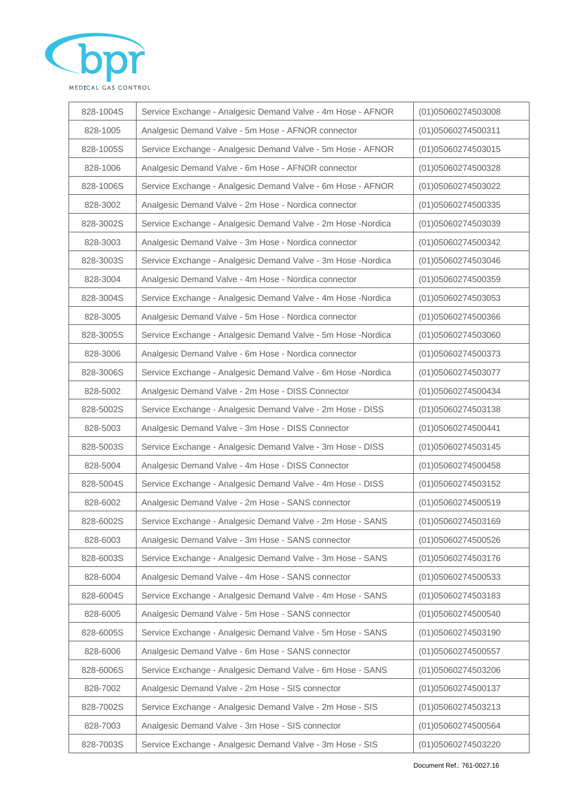

| 828-1004S | Service Exchange - Analgesic Demand Valve - 4m Hose - AFNOR   | (01)05060274503008   |
|-----------|---------------------------------------------------------------|----------------------|
| 828-1005  | Analgesic Demand Valve - 5m Hose - AFNOR connector            | (01) 05060274500311  |
| 828-1005S | Service Exchange - Analgesic Demand Valve - 5m Hose - AFNOR   | (01)05060274503015   |
| 828-1006  | Analgesic Demand Valve - 6m Hose - AFNOR connector            | (01) 05060274500328  |
| 828-1006S | Service Exchange - Analgesic Demand Valve - 6m Hose - AFNOR   | (01) 050 60274503022 |
| 828-3002  | Analgesic Demand Valve - 2m Hose - Nordica connector          | (01)05060274500335   |
| 828-3002S | Service Exchange - Analgesic Demand Valve - 2m Hose -Nordica  | (01) 050 60274503039 |
| 828-3003  | Analgesic Demand Valve - 3m Hose - Nordica connector          | (01) 05060274500342  |
| 828-3003S | Service Exchange - Analgesic Demand Valve - 3m Hose - Nordica | (01) 050 60274503046 |
| 828-3004  | Analgesic Demand Valve - 4m Hose - Nordica connector          | (01)05060274500359   |
| 828-3004S | Service Exchange - Analgesic Demand Valve - 4m Hose - Nordica | (01)05060274503053   |
| 828-3005  | Analgesic Demand Valve - 5m Hose - Nordica connector          | (01)05060274500366   |
| 828-3005S | Service Exchange - Analgesic Demand Valve - 5m Hose - Nordica | (01)05060274503060   |
| 828-3006  | Analgesic Demand Valve - 6m Hose - Nordica connector          | (01)05060274500373   |
| 828-3006S | Service Exchange - Analgesic Demand Valve - 6m Hose - Nordica | (01)05060274503077   |
| 828-5002  | Analgesic Demand Valve - 2m Hose - DISS Connector             | (01) 050 60274500434 |
| 828-5002S | Service Exchange - Analgesic Demand Valve - 2m Hose - DISS    | (01) 05060274503138  |
| 828-5003  | Analgesic Demand Valve - 3m Hose - DISS Connector             | (01) 050 60274500441 |
| 828-5003S | Service Exchange - Analgesic Demand Valve - 3m Hose - DISS    | (01) 050 60274503145 |
| 828-5004  | Analgesic Demand Valve - 4m Hose - DISS Connector             | (01) 05060274500458  |
| 828-5004S | Service Exchange - Analgesic Demand Valve - 4m Hose - DISS    | (01) 050 60274503152 |
| 828-6002  | Analgesic Demand Valve - 2m Hose - SANS connector             | (01) 05060274500519  |
| 828-6002S | Service Exchange - Analgesic Demand Valve - 2m Hose - SANS    | (01) 050 60274503169 |
| 828-6003  | Analgesic Demand Valve - 3m Hose - SANS connector             | (01) 05060274500526  |
| 828-6003S | Service Exchange - Analgesic Demand Valve - 3m Hose - SANS    | (01) 050 60274503176 |
| 828-6004  | Analgesic Demand Valve - 4m Hose - SANS connector             | (01)05060274500533   |
| 828-6004S | Service Exchange - Analgesic Demand Valve - 4m Hose - SANS    | (01) 05060274503183  |
| 828-6005  | Analgesic Demand Valve - 5m Hose - SANS connector             | (01) 050 60274500540 |
| 828-6005S | Service Exchange - Analgesic Demand Valve - 5m Hose - SANS    | (01) 050 60274503190 |
| 828-6006  | Analgesic Demand Valve - 6m Hose - SANS connector             | (01) 05060274500557  |
| 828-6006S | Service Exchange - Analgesic Demand Valve - 6m Hose - SANS    | (01)05060274503206   |
| 828-7002  | Analgesic Demand Valve - 2m Hose - SIS connector              | (01) 05060274500137  |
| 828-7002S | Service Exchange - Analgesic Demand Valve - 2m Hose - SIS     | (01) 05060274503213  |
| 828-7003  | Analgesic Demand Valve - 3m Hose - SIS connector              | (01) 050 60274500564 |
| 828-7003S | Service Exchange - Analgesic Demand Valve - 3m Hose - SIS     | (01)05060274503220   |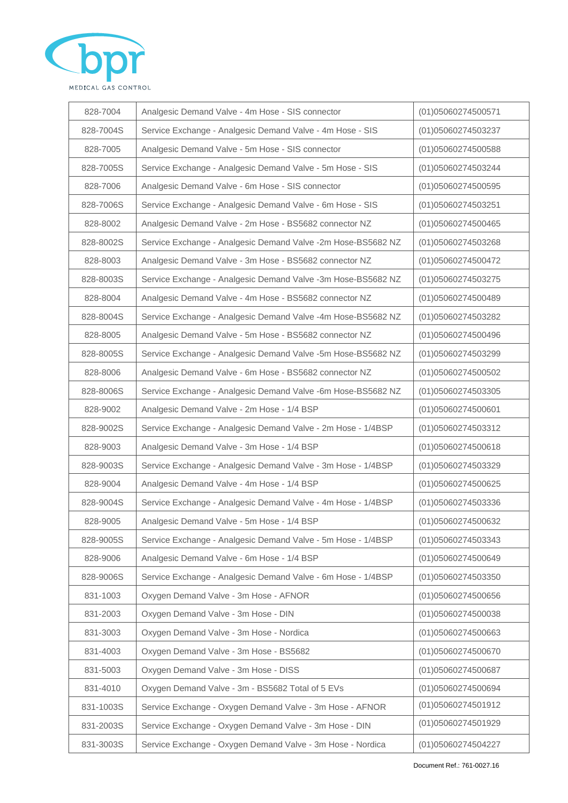

| 828-7004  | Analgesic Demand Valve - 4m Hose - SIS connector              | (01) 05060274500571  |
|-----------|---------------------------------------------------------------|----------------------|
| 828-7004S | Service Exchange - Analgesic Demand Valve - 4m Hose - SIS     | (01) 050 60274503237 |
| 828-7005  | Analgesic Demand Valve - 5m Hose - SIS connector              | (01)05060274500588   |
| 828-7005S | Service Exchange - Analgesic Demand Valve - 5m Hose - SIS     | (01) 050 60274503244 |
| 828-7006  | Analgesic Demand Valve - 6m Hose - SIS connector              | (01)05060274500595   |
| 828-7006S | Service Exchange - Analgesic Demand Valve - 6m Hose - SIS     | (01) 05060274503251  |
| 828-8002  | Analgesic Demand Valve - 2m Hose - BS5682 connector NZ        | (01)05060274500465   |
| 828-8002S | Service Exchange - Analgesic Demand Valve -2m Hose-BS5682 NZ  | (01) 05060274503268  |
| 828-8003  | Analgesic Demand Valve - 3m Hose - BS5682 connector NZ        | (01) 050 60274500472 |
| 828-8003S | Service Exchange - Analgesic Demand Valve -3m Hose-BS5682 NZ  | (01) 050 60274503275 |
| 828-8004  | Analgesic Demand Valve - 4m Hose - BS5682 connector NZ        | (01) 050 60274500489 |
| 828-8004S | Service Exchange - Analgesic Demand Valve -4m Hose-BS5682 NZ  | (01) 050 60274503282 |
| 828-8005  | Analgesic Demand Valve - 5m Hose - BS5682 connector NZ        | (01)05060274500496   |
| 828-8005S | Service Exchange - Analgesic Demand Valve - 5m Hose-BS5682 NZ | (01) 050 60274503299 |
| 828-8006  | Analgesic Demand Valve - 6m Hose - BS5682 connector NZ        | (01) 050 60274500502 |
| 828-8006S | Service Exchange - Analgesic Demand Valve -6m Hose-BS5682 NZ  | (01) 05060274503305  |
| 828-9002  | Analgesic Demand Valve - 2m Hose - 1/4 BSP                    | (01)05060274500601   |
| 828-9002S | Service Exchange - Analgesic Demand Valve - 2m Hose - 1/4BSP  | (01) 05060274503312  |
| 828-9003  | Analgesic Demand Valve - 3m Hose - 1/4 BSP                    | (01) 05060274500618  |
| 828-9003S | Service Exchange - Analgesic Demand Valve - 3m Hose - 1/4BSP  | (01) 050 60274503329 |
| 828-9004  | Analgesic Demand Valve - 4m Hose - 1/4 BSP                    | (01) 050 60274500625 |
| 828-9004S | Service Exchange - Analgesic Demand Valve - 4m Hose - 1/4BSP  | (01) 050 60274503336 |
| 828-9005  | Analgesic Demand Valve - 5m Hose - 1/4 BSP                    | (01)05060274500632   |
| 828-9005S | Service Exchange - Analgesic Demand Valve - 5m Hose - 1/4BSP  | (01) 050 60274503343 |
| 828-9006  | Analgesic Demand Valve - 6m Hose - 1/4 BSP                    | (01)05060274500649   |
| 828-9006S | Service Exchange - Analgesic Demand Valve - 6m Hose - 1/4BSP  | (01) 050 60274503350 |
| 831-1003  | Oxygen Demand Valve - 3m Hose - AFNOR                         | (01)05060274500656   |
| 831-2003  | Oxygen Demand Valve - 3m Hose - DIN                           | (01)05060274500038   |
| 831-3003  | Oxygen Demand Valve - 3m Hose - Nordica                       | (01)05060274500663   |
| 831-4003  | Oxygen Demand Valve - 3m Hose - BS5682                        | (01)05060274500670   |
| 831-5003  | Oxygen Demand Valve - 3m Hose - DISS                          | (01)05060274500687   |
| 831-4010  | Oxygen Demand Valve - 3m - BS5682 Total of 5 EVs              | (01)05060274500694   |
| 831-1003S | Service Exchange - Oxygen Demand Valve - 3m Hose - AFNOR      | (01) 050 60274501912 |
| 831-2003S | Service Exchange - Oxygen Demand Valve - 3m Hose - DIN        | (01) 050 60274501929 |
| 831-3003S | Service Exchange - Oxygen Demand Valve - 3m Hose - Nordica    | (01) 050 60274504227 |